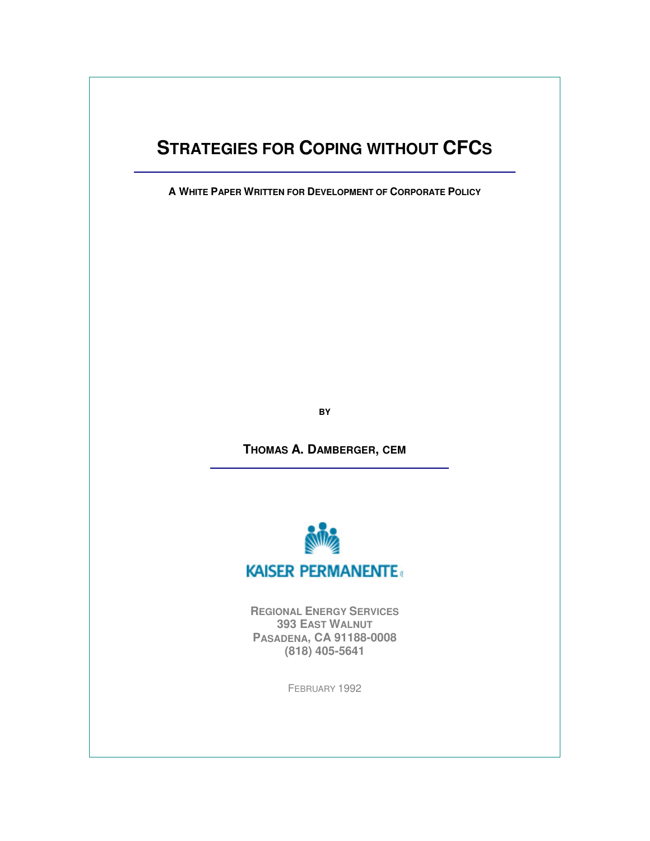# **STRATEGIES FOR COPING WITHOUT CFCS**

**A WHITE PAPER WRITTEN FOR DEVELOPMENT OF CORPORATE POLICY**

**BY**

**THOMAS A. DAMBERGER, CEM**



**REGIONAL ENERGY SERVICES 393 EAST WALNUT PASADENA, CA 91188-0008 (818) 405-5641**

FEBRUARY 1992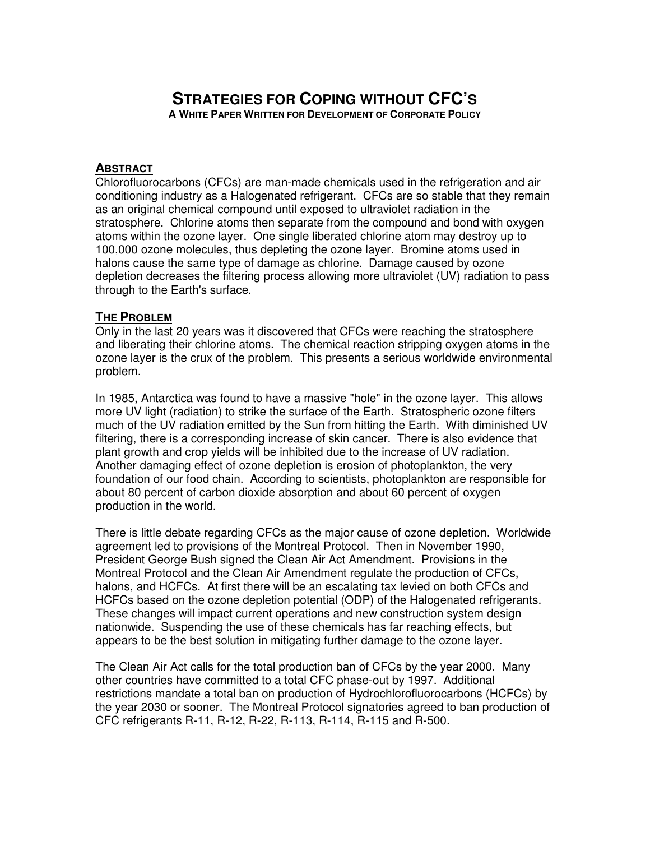# **STRATEGIES FOR COPING WITHOUT CFC'S A WHITE PAPER WRITTEN FOR DEVELOPMENT OF CORPORATE POLICY**

#### **ABSTRACT**

Chlorofluorocarbons (CFCs) are man-made chemicals used in the refrigeration and air conditioning industry as a Halogenated refrigerant. CFCs are so stable that they remain as an original chemical compound until exposed to ultraviolet radiation in the stratosphere. Chlorine atoms then separate from the compound and bond with oxygen atoms within the ozone layer. One single liberated chlorine atom may destroy up to 100,000 ozone molecules, thus depleting the ozone layer. Bromine atoms used in halons cause the same type of damage as chlorine. Damage caused by ozone depletion decreases the filtering process allowing more ultraviolet (UV) radiation to pass through to the Earth's surface.

#### **THE PROBLEM**

Only in the last 20 years was it discovered that CFCs were reaching the stratosphere and liberating their chlorine atoms. The chemical reaction stripping oxygen atoms in the ozone layer is the crux of the problem. This presents a serious worldwide environmental problem.

In 1985, Antarctica was found to have a massive "hole" in the ozone layer. This allows more UV light (radiation) to strike the surface of the Earth. Stratospheric ozone filters much of the UV radiation emitted by the Sun from hitting the Earth. With diminished UV filtering, there is a corresponding increase of skin cancer. There is also evidence that plant growth and crop yields will be inhibited due to the increase of UV radiation. Another damaging effect of ozone depletion is erosion of photoplankton, the very foundation of our food chain. According to scientists, photoplankton are responsible for about 80 percent of carbon dioxide absorption and about 60 percent of oxygen production in the world.

There is little debate regarding CFCs as the major cause of ozone depletion. Worldwide agreement led to provisions of the Montreal Protocol. Then in November 1990, President George Bush signed the Clean Air Act Amendment. Provisions in the Montreal Protocol and the Clean Air Amendment regulate the production of CFCs, halons, and HCFCs. At first there will be an escalating tax levied on both CFCs and HCFCs based on the ozone depletion potential (ODP) of the Halogenated refrigerants. These changes will impact current operations and new construction system design nationwide. Suspending the use of these chemicals has far reaching effects, but appears to be the best solution in mitigating further damage to the ozone layer.

The Clean Air Act calls for the total production ban of CFCs by the year 2000. Many other countries have committed to a total CFC phase-out by 1997. Additional restrictions mandate a total ban on production of Hydrochlorofluorocarbons (HCFCs) by the year 2030 or sooner. The Montreal Protocol signatories agreed to ban production of CFC refrigerants R-11, R-12, R-22, R-113, R-114, R-115 and R-500.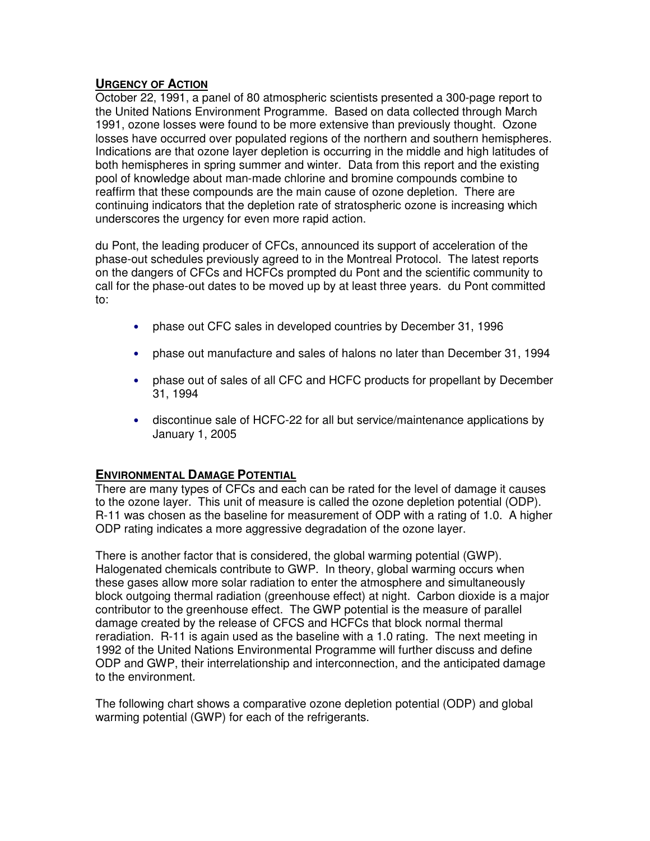## **URGENCY OF ACTION**

October 22, 1991, a panel of 80 atmospheric scientists presented a 300-page report to the United Nations Environment Programme. Based on data collected through March 1991, ozone losses were found to be more extensive than previously thought. Ozone losses have occurred over populated regions of the northern and southern hemispheres. Indications are that ozone layer depletion is occurring in the middle and high latitudes of both hemispheres in spring summer and winter. Data from this report and the existing pool of knowledge about man-made chlorine and bromine compounds combine to reaffirm that these compounds are the main cause of ozone depletion. There are continuing indicators that the depletion rate of stratospheric ozone is increasing which underscores the urgency for even more rapid action.

du Pont, the leading producer of CFCs, announced its support of acceleration of the phase-out schedules previously agreed to in the Montreal Protocol. The latest reports on the dangers of CFCs and HCFCs prompted du Pont and the scientific community to call for the phase-out dates to be moved up by at least three years. du Pont committed to:

- phase out CFC sales in developed countries by December 31, 1996
- phase out manufacture and sales of halons no later than December 31, 1994
- phase out of sales of all CFC and HCFC products for propellant by December 31, 1994
- discontinue sale of HCFC-22 for all but service/maintenance applications by January 1, 2005

## **ENVIRONMENTAL DAMAGE POTENTIAL**

There are many types of CFCs and each can be rated for the level of damage it causes to the ozone layer. This unit of measure is called the ozone depletion potential (ODP). R-11 was chosen as the baseline for measurement of ODP with a rating of 1.0. A higher ODP rating indicates a more aggressive degradation of the ozone layer.

There is another factor that is considered, the global warming potential (GWP). Halogenated chemicals contribute to GWP. In theory, global warming occurs when these gases allow more solar radiation to enter the atmosphere and simultaneously block outgoing thermal radiation (greenhouse effect) at night. Carbon dioxide is a major contributor to the greenhouse effect. The GWP potential is the measure of parallel damage created by the release of CFCS and HCFCs that block normal thermal reradiation. R-11 is again used as the baseline with a 1.0 rating. The next meeting in 1992 of the United Nations Environmental Programme will further discuss and define ODP and GWP, their interrelationship and interconnection, and the anticipated damage to the environment.

The following chart shows a comparative ozone depletion potential (ODP) and global warming potential (GWP) for each of the refrigerants.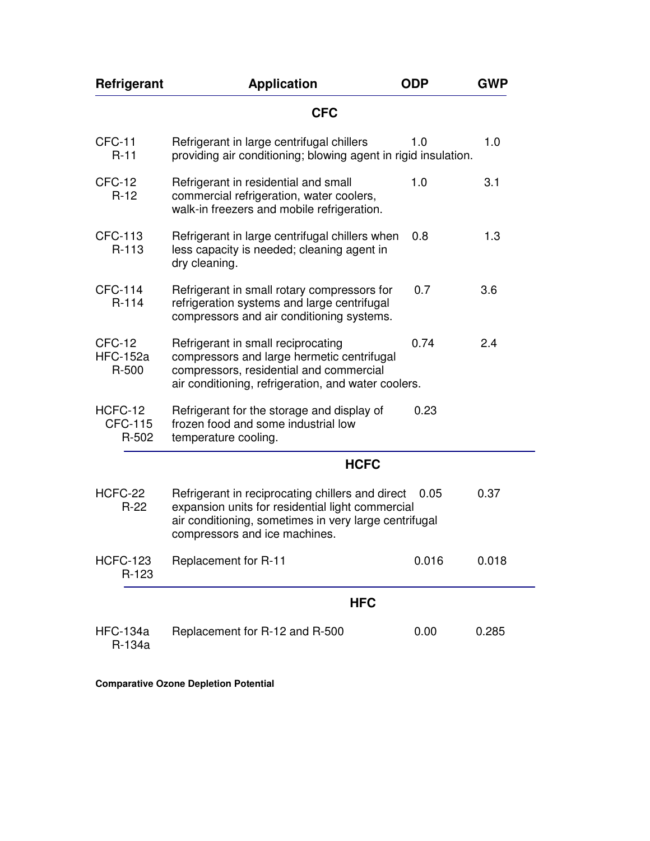| Refrigerant                          | <b>Application</b>                                                                                                                                                                             | <b>ODP</b> | <b>GWP</b> |
|--------------------------------------|------------------------------------------------------------------------------------------------------------------------------------------------------------------------------------------------|------------|------------|
|                                      | <b>CFC</b>                                                                                                                                                                                     |            |            |
| CFC-11<br>$R-11$                     | Refrigerant in large centrifugal chillers<br>providing air conditioning; blowing agent in rigid insulation.                                                                                    | 1.0        | 1.0        |
| CFC-12<br>$R-12$                     | Refrigerant in residential and small<br>commercial refrigeration, water coolers,<br>walk-in freezers and mobile refrigeration.                                                                 | 1.0        | 3.1        |
| CFC-113<br>R-113                     | Refrigerant in large centrifugal chillers when<br>less capacity is needed; cleaning agent in<br>dry cleaning.                                                                                  | 0.8        | 1.3        |
| <b>CFC-114</b><br>$R-114$            | Refrigerant in small rotary compressors for<br>refrigeration systems and large centrifugal<br>compressors and air conditioning systems.                                                        | 0.7        | 3.6        |
| CFC-12<br><b>HFC-152a</b><br>R-500   | Refrigerant in small reciprocating<br>compressors and large hermetic centrifugal<br>compressors, residential and commercial<br>air conditioning, refrigeration, and water coolers.             | 0.74       | 2.4        |
| HCFC-12<br><b>CFC-115</b><br>$R-502$ | Refrigerant for the storage and display of<br>frozen food and some industrial low<br>temperature cooling.                                                                                      | 0.23       |            |
|                                      | <b>HCFC</b>                                                                                                                                                                                    |            |            |
| HCFC-22<br>$R-22$                    | Refrigerant in reciprocating chillers and direct<br>expansion units for residential light commercial<br>air conditioning, sometimes in very large centrifugal<br>compressors and ice machines. | 0.05       | 0.37       |
| <b>HCFC-123</b><br>R-123             | Replacement for R-11                                                                                                                                                                           | 0.016      | 0.018      |
|                                      | <b>HFC</b>                                                                                                                                                                                     |            |            |
| <b>HFC-134a</b><br>R-134a            | Replacement for R-12 and R-500                                                                                                                                                                 | 0.00       | 0.285      |

÷,

**Comparative Ozone Depletion Potential**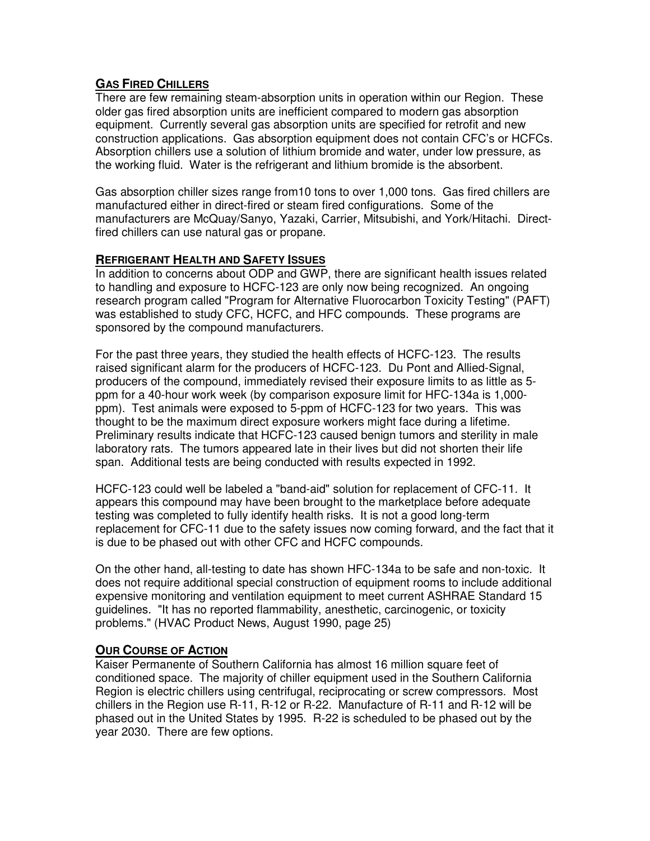# **GAS FIRED CHILLERS**

There are few remaining steam-absorption units in operation within our Region. These older gas fired absorption units are inefficient compared to modern gas absorption equipment. Currently several gas absorption units are specified for retrofit and new construction applications. Gas absorption equipment does not contain CFC's or HCFCs. Absorption chillers use a solution of lithium bromide and water, under low pressure, as the working fluid. Water is the refrigerant and lithium bromide is the absorbent.

Gas absorption chiller sizes range from10 tons to over 1,000 tons. Gas fired chillers are manufactured either in direct-fired or steam fired configurations. Some of the manufacturers are McQuay/Sanyo, Yazaki, Carrier, Mitsubishi, and York/Hitachi. Directfired chillers can use natural gas or propane.

## **REFRIGERANT HEALTH AND SAFETY ISSUES**

In addition to concerns about ODP and GWP, there are significant health issues related to handling and exposure to HCFC-123 are only now being recognized. An ongoing research program called "Program for Alternative Fluorocarbon Toxicity Testing" (PAFT) was established to study CFC, HCFC, and HFC compounds. These programs are sponsored by the compound manufacturers.

For the past three years, they studied the health effects of HCFC-123. The results raised significant alarm for the producers of HCFC-123. Du Pont and Allied-Signal, producers of the compound, immediately revised their exposure limits to as little as 5 ppm for a 40-hour work week (by comparison exposure limit for HFC-134a is 1,000 ppm). Test animals were exposed to 5-ppm of HCFC-123 for two years. This was thought to be the maximum direct exposure workers might face during a lifetime. Preliminary results indicate that HCFC-123 caused benign tumors and sterility in male laboratory rats. The tumors appeared late in their lives but did not shorten their life span. Additional tests are being conducted with results expected in 1992.

HCFC-123 could well be labeled a "band-aid" solution for replacement of CFC-11. It appears this compound may have been brought to the marketplace before adequate testing was completed to fully identify health risks. It is not a good long-term replacement for CFC-11 due to the safety issues now coming forward, and the fact that it is due to be phased out with other CFC and HCFC compounds.

On the other hand, all-testing to date has shown HFC-134a to be safe and non-toxic. It does not require additional special construction of equipment rooms to include additional expensive monitoring and ventilation equipment to meet current ASHRAE Standard 15 guidelines. "It has no reported flammability, anesthetic, carcinogenic, or toxicity problems." (HVAC Product News, August 1990, page 25)

## **OUR COURSE OF ACTION**

Kaiser Permanente of Southern California has almost 16 million square feet of conditioned space. The majority of chiller equipment used in the Southern California Region is electric chillers using centrifugal, reciprocating or screw compressors. Most chillers in the Region use R-11, R-12 or R-22. Manufacture of R-11 and R-12 will be phased out in the United States by 1995. R-22 is scheduled to be phased out by the year 2030. There are few options.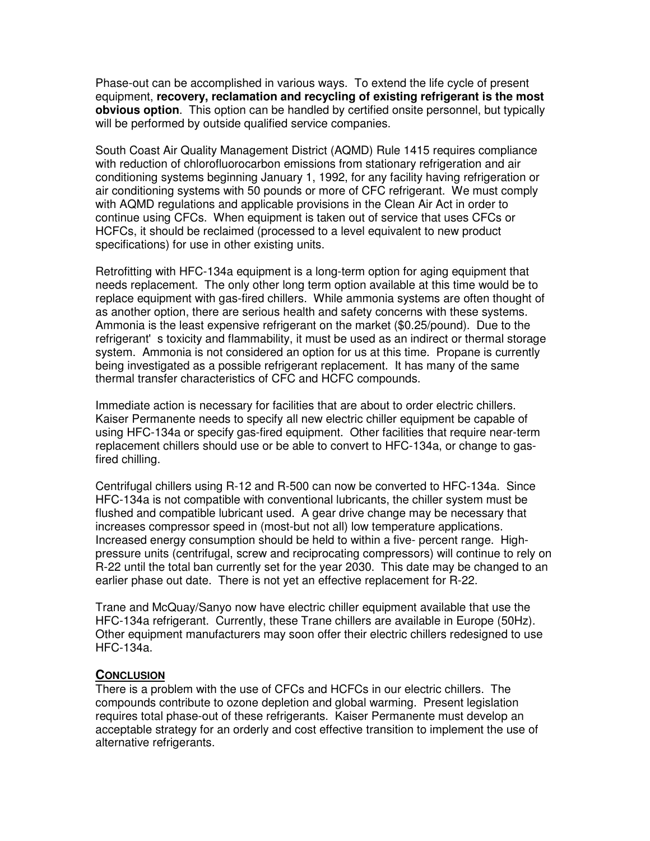Phase-out can be accomplished in various ways. To extend the life cycle of present equipment, **recovery, reclamation and recycling of existing refrigerant is the most obvious option**. This option can be handled by certified onsite personnel, but typically will be performed by outside qualified service companies.

South Coast Air Quality Management District (AQMD) Rule 1415 requires compliance with reduction of chlorofluorocarbon emissions from stationary refrigeration and air conditioning systems beginning January 1, 1992, for any facility having refrigeration or air conditioning systems with 50 pounds or more of CFC refrigerant. We must comply with AQMD regulations and applicable provisions in the Clean Air Act in order to continue using CFCs. When equipment is taken out of service that uses CFCs or HCFCs, it should be reclaimed (processed to a level equivalent to new product specifications) for use in other existing units.

Retrofitting with HFC-134a equipment is a long-term option for aging equipment that needs replacement. The only other long term option available at this time would be to replace equipment with gas-fired chillers. While ammonia systems are often thought of as another option, there are serious health and safety concerns with these systems. Ammonia is the least expensive refrigerant on the market (\$0.25/pound). Due to the refrigerant's toxicity and flammability, it must be used as an indirect or thermal storage system. Ammonia is not considered an option for us at this time. Propane is currently being investigated as a possible refrigerant replacement. It has many of the same thermal transfer characteristics of CFC and HCFC compounds.

Immediate action is necessary for facilities that are about to order electric chillers. Kaiser Permanente needs to specify all new electric chiller equipment be capable of using HFC-134a or specify gas-fired equipment. Other facilities that require near-term replacement chillers should use or be able to convert to HFC-134a, or change to gasfired chilling.

Centrifugal chillers using R-12 and R-500 can now be converted to HFC-134a. Since HFC-134a is not compatible with conventional lubricants, the chiller system must be flushed and compatible lubricant used. A gear drive change may be necessary that increases compressor speed in (most-but not all) low temperature applications. Increased energy consumption should be held to within a five- percent range. Highpressure units (centrifugal, screw and reciprocating compressors) will continue to rely on R-22 until the total ban currently set for the year 2030. This date may be changed to an earlier phase out date. There is not yet an effective replacement for R-22.

Trane and McQuay/Sanyo now have electric chiller equipment available that use the HFC-134a refrigerant. Currently, these Trane chillers are available in Europe (50Hz). Other equipment manufacturers may soon offer their electric chillers redesigned to use HFC-134a.

#### **CONCLUSION**

There is a problem with the use of CFCs and HCFCs in our electric chillers. The compounds contribute to ozone depletion and global warming. Present legislation requires total phase-out of these refrigerants. Kaiser Permanente must develop an acceptable strategy for an orderly and cost effective transition to implement the use of alternative refrigerants.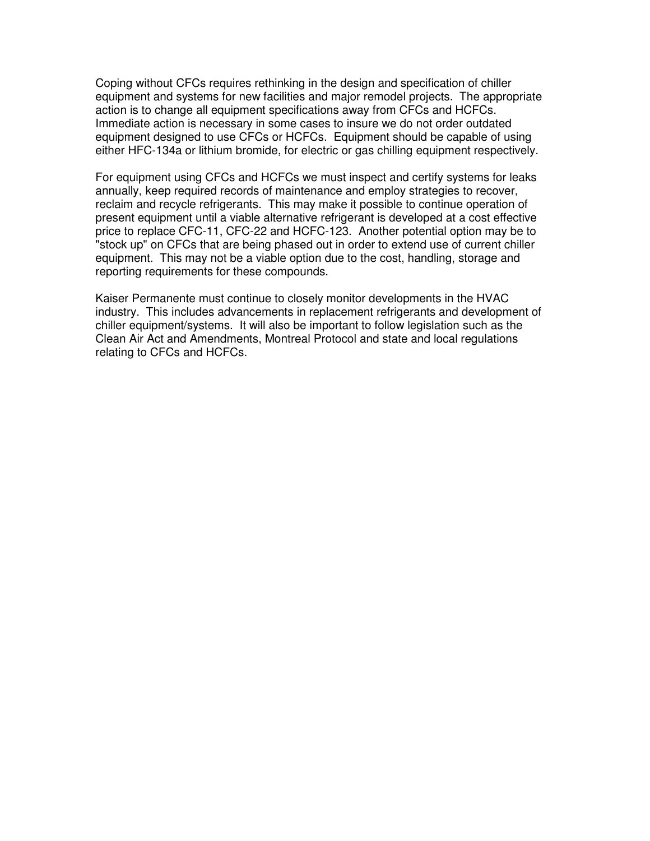Coping without CFCs requires rethinking in the design and specification of chiller equipment and systems for new facilities and major remodel projects. The appropriate action is to change all equipment specifications away from CFCs and HCFCs. Immediate action is necessary in some cases to insure we do not order outdated equipment designed to use CFCs or HCFCs. Equipment should be capable of using either HFC-134a or lithium bromide, for electric or gas chilling equipment respectively.

For equipment using CFCs and HCFCs we must inspect and certify systems for leaks annually, keep required records of maintenance and employ strategies to recover, reclaim and recycle refrigerants. This may make it possible to continue operation of present equipment until a viable alternative refrigerant is developed at a cost effective price to replace CFC-11, CFC-22 and HCFC-123. Another potential option may be to "stock up" on CFCs that are being phased out in order to extend use of current chiller equipment. This may not be a viable option due to the cost, handling, storage and reporting requirements for these compounds.

Kaiser Permanente must continue to closely monitor developments in the HVAC industry. This includes advancements in replacement refrigerants and development of chiller equipment/systems. It will also be important to follow legislation such as the Clean Air Act and Amendments, Montreal Protocol and state and local regulations relating to CFCs and HCFCs.